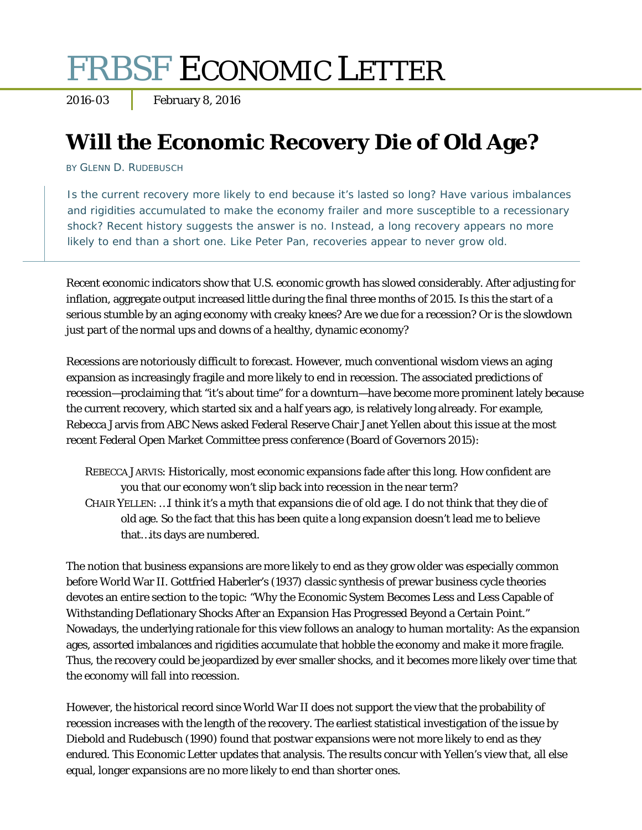# FRBSF ECONOMIC LETTER

2016-03 February 8, 2016

# **Will the Economic Recovery Die of Old Age?**

BY GLENN D. RUDEBUSCH

Is the current recovery more likely to end because it's lasted so long? Have various imbalances and rigidities accumulated to make the economy frailer and more susceptible to a recessionary shock? Recent history suggests the answer is no. Instead, a long recovery appears no more likely to end than a short one. Like Peter Pan, recoveries appear to never grow old.

Recent economic indicators show that U.S. economic growth has slowed considerably. After adjusting for inflation, aggregate output increased little during the final three months of 2015. Is this the start of a serious stumble by an aging economy with creaky knees? Are we due for a recession? Or is the slowdown just part of the normal ups and downs of a healthy, dynamic economy?

Recessions are notoriously difficult to forecast. However, much conventional wisdom views an aging expansion as increasingly fragile and more likely to end in recession. The associated predictions of recession—proclaiming that "it's about time" for a downturn—have become more prominent lately because the current recovery, which started six and a half years ago, is relatively long already. For example, Rebecca Jarvis from ABC News asked Federal Reserve Chair Janet Yellen about this issue at the most recent Federal Open Market Committee press conference (Board of Governors 2015):

REBECCA JARVIS: Historically, most economic expansions fade after this long. How confident are you that our economy won't slip back into recession in the near term? CHAIR YELLEN: …I think it's a myth that expansions die of old age. I do not think that they die of old age. So the fact that this has been quite a long expansion doesn't lead me to believe that…its days are numbered.

The notion that business expansions are more likely to end as they grow older was especially common before World War II. Gottfried Haberler's (1937) classic synthesis of prewar business cycle theories devotes an entire section to the topic: "Why the Economic System Becomes Less and Less Capable of Withstanding Deflationary Shocks After an Expansion Has Progressed Beyond a Certain Point." Nowadays, the underlying rationale for this view follows an analogy to human mortality: As the expansion ages, assorted imbalances and rigidities accumulate that hobble the economy and make it more fragile. Thus, the recovery could be jeopardized by ever smaller shocks, and it becomes more likely over time that the economy will fall into recession.

However, the historical record since World War II does not support the view that the probability of recession increases with the length of the recovery. The earliest statistical investigation of the issue by Diebold and Rudebusch (1990) found that postwar expansions were not more likely to end as they endured. This *Economic Letter* updates that analysis. The results concur with Yellen's view that, all else equal, longer expansions are no more likely to end than shorter ones.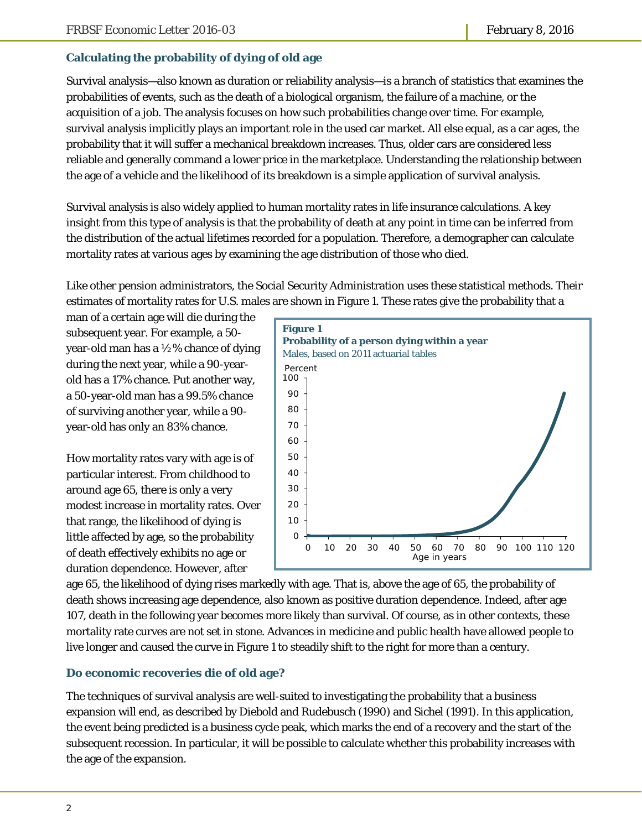## **Calculating the probability of dying of old age**

Survival analysis—also known as duration or reliability analysis—is a branch of statistics that examines the probabilities of events, such as the death of a biological organism, the failure of a machine, or the acquisition of a job. The analysis focuses on how such probabilities change over time. For example, survival analysis implicitly plays an important role in the used car market. All else equal, as a car ages, the probability that it will suffer a mechanical breakdown increases. Thus, older cars are considered less reliable and generally command a lower price in the marketplace. Understanding the relationship between the age of a vehicle and the likelihood of its breakdown is a simple application of survival analysis.

Survival analysis is also widely applied to human mortality rates in life insurance calculations. A key insight from this type of analysis is that the probability of death at any point in time can be inferred from the distribution of the actual lifetimes recorded for a population. Therefore, a demographer can calculate mortality rates at various ages by examining the age distribution of those who died.

Like other pension administrators, the Social Security Administration uses these statistical methods. Their estimates of mortality rates for U.S. males are shown in Figure 1. These rates give the probability that a

man of a certain age will die during the subsequent year. For example, a 50 year-old man has a ½% chance of dying during the next year, while a 90-yearold has a 17% chance. Put another way, a 50-year-old man has a 99.5% chance of surviving another year, while a 90 year-old has only an 83% chance.

How mortality rates vary with age is of particular interest. From childhood to around age 65, there is only a very modest increase in mortality rates. Over that range, the likelihood of dying is little affected by age, so the probability of death effectively exhibits no age or duration dependence. However, after



age 65, the likelihood of dying rises markedly with age. That is, above the age of 65, the probability of death shows increasing age dependence, also known as positive duration dependence. Indeed, after age 107, death in the following year becomes more likely than survival. Of course, as in other contexts, these mortality rate curves are not set in stone. Advances in medicine and public health have allowed people to live longer and caused the curve in Figure 1 to steadily shift to the right for more than a century.

#### **Do economic recoveries die of old age?**

The techniques of survival analysis are well-suited to investigating the probability that a business expansion will end, as described by Diebold and Rudebusch (1990) and Sichel (1991). In this application, the event being predicted is a business cycle peak, which marks the end of a recovery and the start of the subsequent recession. In particular, it will be possible to calculate whether this probability increases with the age of the expansion.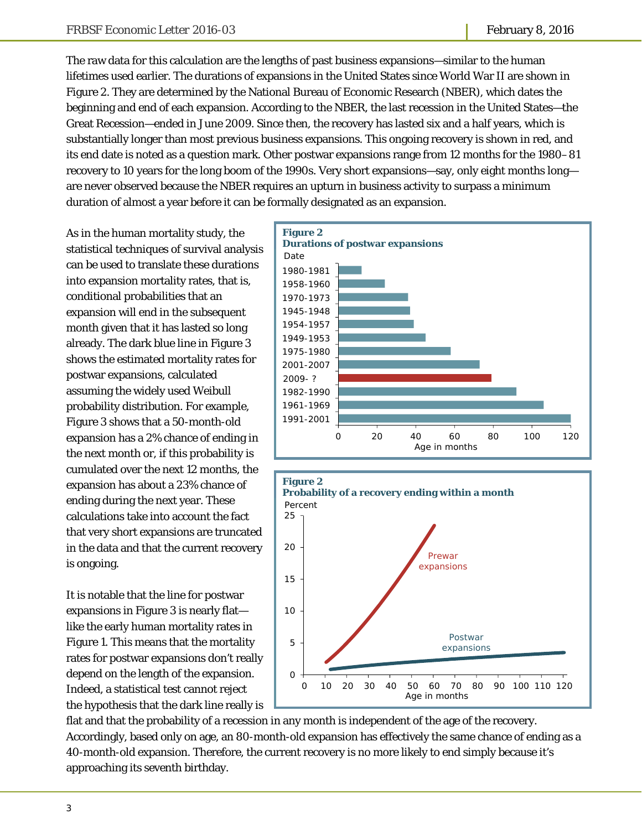The raw data for this calculation are the lengths of past business expansions—similar to the human lifetimes used earlier. The durations of expansions in the United States since World War II are shown in Figure 2. They are determined by the National Bureau of Economic Research (NBER), which dates the beginning and end of each expansion. According to the NBER, the last recession in the United States—the Great Recession—ended in June 2009. Since then, the recovery has lasted six and a half years, which is substantially longer than most previous business expansions. This ongoing recovery is shown in red, and its end date is noted as a question mark. Other postwar expansions range from 12 months for the 1980–81 recovery to 10 years for the long boom of the 1990s. Very short expansions—say, only eight months long are never observed because the NBER requires an upturn in business activity to surpass a minimum duration of almost a year before it can be formally designated as an expansion.

As in the human mortality study, the statistical techniques of survival analysis can be used to translate these durations into expansion mortality rates, that is, conditional probabilities that an expansion will end in the subsequent month given that it has lasted so long already. The dark blue line in Figure 3 shows the estimated mortality rates for postwar expansions, calculated assuming the widely used Weibull probability distribution. For example, Figure 3 shows that a 50-month-old expansion has a 2% chance of ending in the next month or, if this probability is cumulated over the next 12 months, the expansion has about a 23% chance of ending during the next year. These calculations take into account the fact that very short expansions are truncated in the data and that the current recovery is ongoing.

It is notable that the line for postwar expansions in Figure 3 is nearly flat like the early human mortality rates in Figure 1. This means that the mortality rates for postwar expansions don't really depend on the length of the expansion. Indeed, a statistical test cannot reject the hypothesis that the dark line really is





flat and that the probability of a recession in any month is independent of the age of the recovery. Accordingly, based only on age, an 80-month-old expansion has effectively the same chance of ending as a 40-month-old expansion. Therefore, the current recovery is no more likely to end simply because it's approaching its seventh birthday.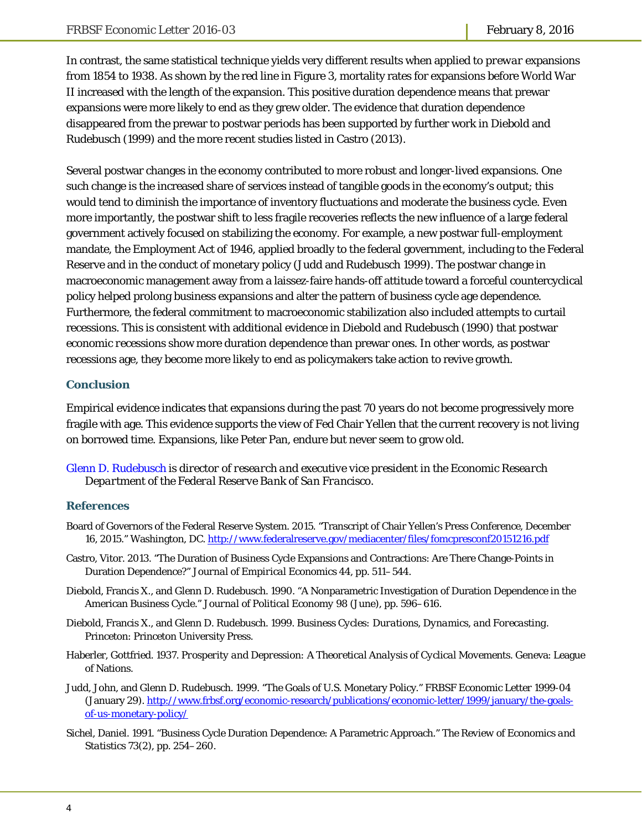In contrast, the same statistical technique yields very different results when applied to *prewar* expansions from 1854 to 1938. As shown by the red line in Figure 3, mortality rates for expansions before World War II increased with the length of the expansion. This positive duration dependence means that prewar expansions were more likely to end as they grew older. The evidence that duration dependence disappeared from the prewar to postwar periods has been supported by further work in Diebold and Rudebusch (1999) and the more recent studies listed in Castro (2013).

Several postwar changes in the economy contributed to more robust and longer-lived expansions. One such change is the increased share of services instead of tangible goods in the economy's output; this would tend to diminish the importance of inventory fluctuations and moderate the business cycle. Even more importantly, the postwar shift to less fragile recoveries reflects the new influence of a large federal government actively focused on stabilizing the economy. For example, a new postwar full-employment mandate, the Employment Act of 1946, applied broadly to the federal government, including to the Federal Reserve and in the conduct of monetary policy (Judd and Rudebusch 1999). The postwar change in macroeconomic management away from a laissez-faire hands-off attitude toward a forceful countercyclical policy helped prolong business expansions and alter the pattern of business cycle age dependence. Furthermore, the federal commitment to macroeconomic stabilization also included attempts to curtail recessions. This is consistent with additional evidence in Diebold and Rudebusch (1990) that postwar economic *recessions* show more duration dependence than prewar ones. In other words, as postwar recessions age, they become more likely to end as policymakers take action to revive growth.

#### **Conclusion**

Empirical evidence indicates that expansions during the past 70 years do not become progressively more fragile with age. This evidence supports the view of Fed Chair Yellen that the current recovery is not living on borrowed time. Expansions, like Peter Pan, endure but never seem to grow old.

*[Glenn D. Rudebusch i](http://www.frbsf.org/economic-research/economists/glenn-rudebusch/)s director of research and executive vice president in the Economic Research Department of the Federal Reserve Bank of San Francisco.* 

#### **References**

- Board of Governors of the Federal Reserve System. 2015. "Transcript of Chair Yellen's Press Conference, December 16, 2015." Washington, DC. http://www.federalreserve.gov/mediacenter/files/fomcpresconf20151216.pdf
- Castro, Vitor. 2013. "The Duration of Business Cycle Expansions and Contractions: Are There Change-Points in Duration Dependence?" *Journal of Empirical Economics* 44, pp. 511–544.
- Diebold, Francis X., and Glenn D. Rudebusch. 1990. "A Nonparametric Investigation of Duration Dependence in the American Business Cycle." *Journal of Political Economy* 98 (June), pp. 596–616.
- Diebold, Francis X., and Glenn D. Rudebusch. 1999. *Business Cycles: Durations, Dynamics, and Forecasting*. Princeton: Princeton University Press.
- Haberler, Gottfried. 1937. *Prosperity and Depression: A Theoretical Analysis of Cyclical Movements.* Geneva: League of Nations.
- Judd, John, and Glenn D. Rudebusch. 1999. "The Goals of U.S. Monetary Policy." *FRBSF Economic Letter* 1999-04 (January 29). http://www.frbsf.org/economic-research/publications/economic-letter/1999/january/the-goalsof-us-monetary-policy/
- Sichel, Daniel. 1991. "Business Cycle Duration Dependence: A Parametric Approach." *The Review of Economics and Statistics* 73(2), pp. 254–260.